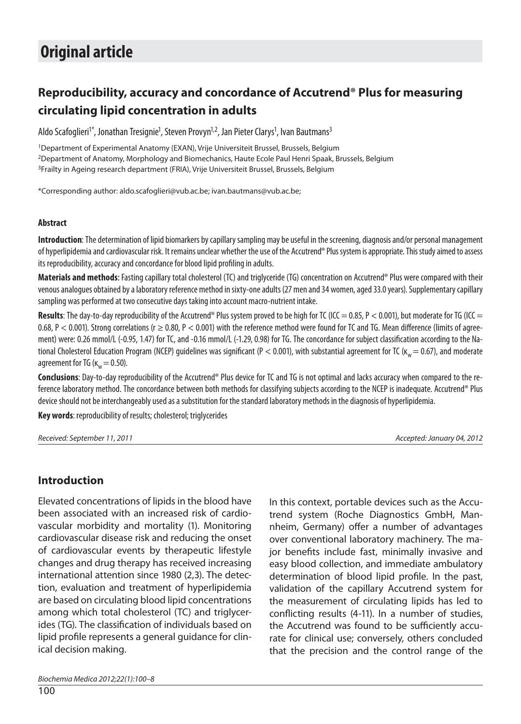# **Original article**

## **Reproducibility, accuracy and concordance of Accutrend® Plus for measuring circulating lipid concentration in adults**

Aldo Scafoglieri<sup>1\*</sup>, Jonathan Tresignie<sup>1</sup>, Steven Provyn<sup>1,2</sup>, Jan Pieter Clarys<sup>1</sup>, Ivan Bautmans<sup>3</sup>

<sup>1</sup>Department of Experimental Anatomy (EXAN), Vrije Universiteit Brussel, Brussels, Belgium 2Department of Anatomy, Morphology and Biomechanics, Haute Ecole Paul Henri Spaak, Brussels, Belgium 3Frailty in Ageing research department (FRIA), Vrije Universiteit Brussel, Brussels, Belgium

\*Corresponding author: aldo.scafoglieri@vub.ac.be; ivan.bautmans@vub.ac.be;

#### **Abstract**

**Introduction**: The determination of lipid biomarkers by capillary sampling may be useful in the screening, diagnosis and/or personal management of hyperlipidemia and cardiovascular risk. It remains unclear whether the use of the Accutrend® Plus system is appropriate. This study aimed to assess its reproducibility, accuracy and concordance for blood lipid profiling in adults.

**Materials and methods**: Fasting capillary total cholesterol (TC) and triglyceride (TG) concentration on Accutrend® Plus were compared with their venous analogues obtained by a laboratory reference method in sixty-one adults (27 men and 34 women, aged 33.0 years). Supplementary capillary sampling was performed at two consecutive days taking into account macro-nutrient intake.

**Results**: The day-to-day reproducibility of the Accutrend® Plus system proved to be high for TC (ICC = 0.85, P < 0.001), but moderate for TG (ICC = 0.68, P < 0.001). Strong correlations ( $r \ge 0.80$ , P < 0.001) with the reference method were found for TC and TG. Mean difference (limits of agreement) were: 0.26 mmol/L (-0.95, 1.47) for TC, and -0.16 mmol/L (-1.29, 0.98) for TG. The concordance for subject classification according to the National Cholesterol Education Program (NCEP) guidelines was significant (P < 0.001), with substantial agreement for TC ( $\kappa_w$  = 0.67), and moderate agreement for TG ( $\kappa_w = 0.50$ ).

**Conclusions**: Day-to-day reproducibility of the Accutrend® Plus device for TC and TG is not optimal and lacks accuracy when compared to the reference laboratory method. The concordance between both methods for classifying subjects according to the NCEP is inadequate. Accutrend® Plus device should not be interchangeably used as a substitution for the standard laboratory methods in the diagnosis of hyperlipidemia.

**Key words**: reproducibility of results; cholesterol; triglycerides

Received: September 11, 2011 Accepted: January 04, 2012

#### **Introduction**

Elevated concentrations of lipids in the blood have been associated with an increased risk of cardiovascular morbidity and mortality (1). Monitoring cardiovascular disease risk and reducing the onset of cardiovascular events by therapeutic lifestyle changes and drug therapy has received increasing international attention since 1980 (2,3). The detection, evaluation and treatment of hyperlipidemia are based on circulating blood lipid concentrations among which total cholesterol (TC) and triglycerides (TG). The classification of individuals based on lipid profile represents a general guidance for clinical decision making.

In this context, portable devices such as the Accutrend system (Roche Diagnostics GmbH, Mannheim, Germany) offer a number of advantages over conventional laboratory machinery. The major benefits include fast, minimally invasive and easy blood collection, and immediate ambulatory determination of blood lipid profile. In the past, validation of the capillary Accutrend system for the measurement of circulating lipids has led to conflicting results (4-11). In a number of studies, the Accutrend was found to be sufficiently accurate for clinical use; conversely, others concluded that the precision and the control range of the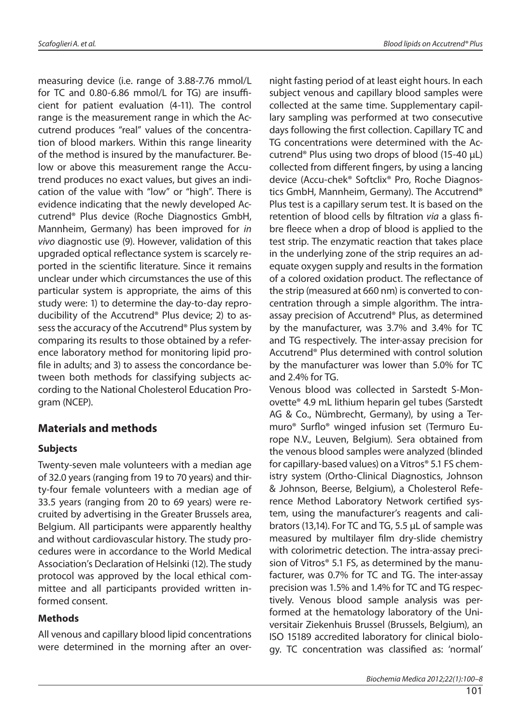measuring device (i.e. range of 3.88-7.76 mmol/L for TC and  $0.80 - 6.86$  mmol/L for TG) are insufficient for patient evaluation (4-11). The control range is the measurement range in which the Accutrend produces "real" values of the concentration of blood markers. Within this range linearity of the method is insured by the manufacturer. Below or above this measurement range the Accutrend produces no exact values, but gives an indication of the value with "low" or "high". There is evidence indicating that the newly developed Accutrend® Plus device (Roche Diagnostics GmbH, Mannheim, Germany) has been improved for in vivo diagnostic use (9). However, validation of this upgraded optical reflectance system is scarcely reported in the scientific literature. Since it remains unclear under which circumstances the use of this particular system is appropriate, the aims of this study were: 1) to determine the day-to-day reproducibility of the Accutrend® Plus device; 2) to assess the accuracy of the Accutrend® Plus system by comparing its results to those obtained by a reference laboratory method for monitoring lipid profile in adults; and 3) to assess the concordance between both methods for classifying subjects according to the National Cholesterol Education Program (NCEP).

#### **Materials and methods**

#### **Subjects**

Twenty-seven male volunteers with a median age of 32.0 years (ranging from 19 to 70 years) and thirty-four female volunteers with a median age of 33.5 years (ranging from 20 to 69 years) were recruited by advertising in the Greater Brussels area, Belgium. All participants were apparently healthy and without cardiovascular history. The study procedures were in accordance to the World Medical Association's Declaration of Helsinki (12). The study protocol was approved by the local ethical committee and all participants provided written informed consent.

#### **Methods**

All venous and capillary blood lipid concentrations were determined in the morning after an overnight fasting period of at least eight hours. In each subject venous and capillary blood samples were collected at the same time. Supplementary capillary sampling was performed at two consecutive days following the first collection. Capillary TC and TG concentrations were determined with the Accutrend® Plus using two drops of blood (15-40 μL) collected from different fingers, by using a lancing device (Accu-chek® Softclix® Pro, Roche Diagnostics GmbH, Mannheim, Germany). The Accutrend® Plus test is a capillary serum test. It is based on the retention of blood cells by filtration via a glass fibre fleece when a drop of blood is applied to the test strip. The enzymatic reaction that takes place in the underlying zone of the strip requires an adequate oxygen supply and results in the formation of a colored oxidation product. The reflectance of the strip (measured at 660 nm) is converted to concentration through a simple algorithm. The intraassay precision of Accutrend® Plus, as determined by the manufacturer, was 3.7% and 3.4% for TC and TG respectively. The inter-assay precision for Accutrend® Plus determined with control solution by the manufacturer was lower than 5.0% for TC and 2.4% for TG.

Venous blood was collected in Sarstedt S-Monovette® 4.9 mL lithium heparin gel tubes (Sarstedt AG & Co., Nümbrecht, Germany), by using a Termuro<sup>®</sup> Surflo<sup>®</sup> winged infusion set (Termuro Europe N.V., Leuven, Belgium). Sera obtained from the venous blood samples were analyzed (blinded for capillary-based values) on a Vitros® 5.1 FS chemistry system (Ortho-Clinical Diagnostics, Johnson & Johnson, Beerse, Belgium), a Cholesterol Reference Method Laboratory Network certified system, using the manufacturer's reagents and calibrators (13,14). For TC and TG, 5.5 μL of sample was measured by multilayer film dry-slide chemistry with colorimetric detection. The intra-assay precision of Vitros® 5.1 FS, as determined by the manufacturer, was 0.7% for TC and TG. The inter-assay precision was 1.5% and 1.4% for TC and TG respectively. Venous blood sample analysis was performed at the hematology laboratory of the Universitair Ziekenhuis Brussel (Brussels, Belgium), an ISO 15189 accredited laboratory for clinical biology. TC concentration was classified as: 'normal'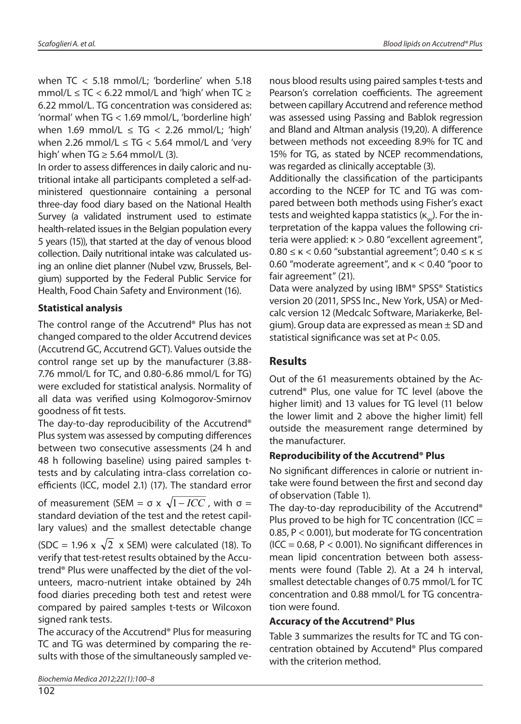when TC < 5.18 mmol/L; 'borderline' when 5.18 mmol/L  $\leq$  TC  $<$  6.22 mmol/L and 'high' when TC  $\geq$ 6.22 mmol/L. TG concentration was considered as: 'normal' when TG < 1.69 mmol/L, 'borderline high' when 1.69 mmol/L  $\leq$  TG  $<$  2.26 mmol/L; 'high' when 2.26 mmol/L  $\leq$  TG  $<$  5.64 mmol/L and 'very high' when TG  $\geq$  5.64 mmol/L (3).

In order to assess differences in daily caloric and nutritional intake all participants completed a self-administered questionnaire containing a personal three-day food diary based on the National Health Survey (a validated instrument used to estimate health-related issues in the Belgian population every 5 years (15)), that started at the day of venous blood collection. Daily nutritional intake was calculated using an online diet planner (Nubel vzw, Brussels, Belgium) supported by the Federal Public Service for Health, Food Chain Safety and Environment (16).

#### **Statistical analysis**

The control range of the Accutrend® Plus has not changed compared to the older Accutrend devices (Accutrend GC, Accutrend GCT). Values outside the control range set up by the manufacturer (3.88- 7.76 mmol/L for TC, and 0.80-6.86 mmol/L for TG) were excluded for statistical analysis. Normality of all data was verified using Kolmogorov-Smirnov goodness of fit tests.

The day-to-day reproducibility of the Accutrend® Plus system was assessed by computing differences between two consecutive assessments (24 h and 48 h following baseline) using paired samples ttests and by calculating intra-class correlation coefficients (ICC, model 2.1) (17). The standard error

of measurement (SEM =  $\sigma$  x  $\sqrt{1-ICC}$ , with  $\sigma$  = standard deviation of the test and the retest capillary values) and the smallest detectable change

(SDC = 1.96 x  $\sqrt{2}$  x SEM) were calculated (18). To verify that test-retest results obtained by the Accutrend<sup>®</sup> Plus were unaffected by the diet of the volunteers, macro-nutrient intake obtained by 24h food diaries preceding both test and retest were compared by paired samples t-tests or Wilcoxon signed rank tests.

The accuracy of the Accutrend® Plus for measuring TC and TG was determined by comparing the results with those of the simultaneously sampled ve-

Biochemia Medica 2012;22(1):100–8

nous blood results using paired samples t-tests and Pearson's correlation coefficients. The agreement between capillary Accutrend and reference method was assessed using Passing and Bablok regression and Bland and Altman analysis (19,20). A difference between methods not exceeding 8.9% for TC and 15% for TG, as stated by NCEP recommendations, was regarded as clinically acceptable (3).

Additionally the classification of the participants according to the NCEP for TC and TG was compared between both methods using Fisher's exact tests and weighted kappa statistics  $(K_{n})$ . For the interpretation of the kappa values the following criteria were applied: κ > 0.80 "excellent agreement",  $0.80 \leq \kappa < 0.60$  "substantial agreement";  $0.40 \leq \kappa \leq 1$ 0.60 "moderate agreement", and κ < 0.40 "poor to fair agreement" (21).

Data were analyzed by using IBM® SPSS® Statistics version 20 (2011, SPSS Inc., New York, USA) or Medcalc version 12 (Medcalc Software, Mariakerke, Belgium). Group data are expressed as mean  $\pm$  SD and statistical significance was set at  $P < 0.05$ .

### **Results**

Out of the 61 measurements obtained by the Accutrend® Plus, one value for TC level (above the higher limit) and 13 values for TG level (11 below the lower limit and 2 above the higher limit) fell outside the measurement range determined by the manufacturer.

#### **Reproducibility of the Accutrend® Plus**

No significant differences in calorie or nutrient intake were found between the first and second day of observation (Table 1).

The day-to-day reproducibility of the Accutrend® Plus proved to be high for TC concentration (ICC  $=$ 0.85, P < 0.001), but moderate for TG concentration (ICC =  $0.68$ , P <  $0.001$ ). No significant differences in mean lipid concentration between both assessments were found (Table 2). At a 24 h interval, smallest detectable changes of 0.75 mmol/L for TC concentration and 0.88 mmol/L for TG concentration were found.

#### **Accuracy of the Accutrend® Plus**

Table 3 summarizes the results for TC and TG concentration obtained by Accutend® Plus compared with the criterion method.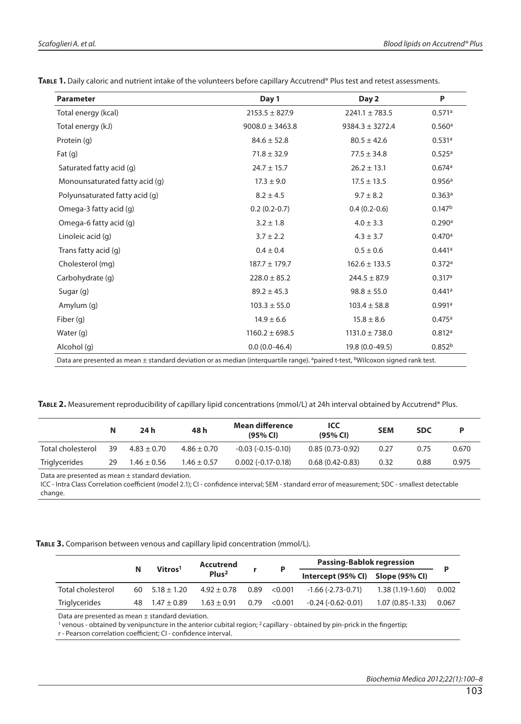| <b>Parameter</b>               | Day 1               | Day 2               | P                  |
|--------------------------------|---------------------|---------------------|--------------------|
| Total energy (kcal)            | $2153.5 \pm 827.9$  | $2241.1 \pm 783.5$  | 0.571a             |
| Total energy (kJ)              | $9008.0 \pm 3463.8$ | $9384.3 \pm 3272.4$ | 0.560a             |
| Protein (g)                    | $84.6 \pm 52.8$     | $80.5 \pm 42.6$     | 0.531a             |
| Fat $(g)$                      | $71.8 \pm 32.9$     | $77.5 \pm 34.8$     | 0.525a             |
| Saturated fatty acid (q)       | $24.7 \pm 15.7$     | $26.2 \pm 13.1$     | 0.674a             |
| Monounsaturated fatty acid (g) | $17.3 \pm 9.0$      | $17.5 \pm 13.5$     | 0.956a             |
| Polyunsaturated fatty acid (g) | $8.2 \pm 4.5$       | $9.7 \pm 8.2$       | 0.363a             |
| Omega-3 fatty acid (g)         | $0.2(0.2-0.7)$      | $0.4(0.2-0.6)$      | 0.147 <sup>b</sup> |
| Omega-6 fatty acid (g)         | $3.2 \pm 1.8$       | $4.0 \pm 3.3$       | 0.290a             |
| Linoleic acid (g)              | $3.7 \pm 2.2$       | $4.3 \pm 3.7$       | 0.470a             |
| Trans fatty acid (g)           | $0.4 \pm 0.4$       | $0.5 \pm 0.6$       | 0.441a             |
| Cholesterol (mg)               | $187.7 \pm 179.7$   | $162.6 \pm 133.5$   | 0.372a             |
| Carbohydrate (g)               | $228.0 \pm 85.2$    | $244.5 \pm 87.9$    | 0.317a             |
| Sugar (g)                      | $89.2 \pm 45.3$     | $98.8 \pm 55.0$     | 0.441a             |
| Amylum (g)                     | $103.3 \pm 55.0$    | $103.4 \pm 58.8$    | 0.991a             |
| Fiber (g)                      | $14.9 \pm 6.6$      | $15.8 \pm 8.6$      | 0.475a             |
| Water (g)                      | $1160.2 \pm 698.5$  | $1131.0 \pm 738.0$  | 0.812a             |
| Alcohol (g)                    | $0.0(0.0-46.4)$     | 19.8 (0.0-49.5)     | 0.852 <sup>b</sup> |

**TABLE 2.** Measurement reproducibility of capillary lipid concentrations (mmol/L) at 24h interval obtained by Accutrend® Plus.

|                                                      | N  | 24 h            | 48 h            | <b>Mean difference</b><br>(95% CI) | ICC<br>(95% CI)   | <b>SEM</b> | <b>SDC</b> | Þ     |
|------------------------------------------------------|----|-----------------|-----------------|------------------------------------|-------------------|------------|------------|-------|
| Total cholesterol                                    | 39 | $4.83 \pm 0.70$ | $4.86 \pm 0.70$ | $-0.03(-0.15-0.10)$                | $0.85(0.73-0.92)$ | 0.27       | 0.75       | 0.670 |
| <b>Triglycerides</b>                                 | 29 | $1.46 \pm 0.56$ | $1.46 \pm 0.57$ | $0.002(-0.17-0.18)$                | $0.68(0.42-0.83)$ | 0.32       | 0.88       | 0.975 |
| Data are presented as mean $\pm$ standard deviation. |    |                 |                 |                                    |                   |            |            |       |

ICC - Intra Class Correlation coefficient (model 2.1); CI - confidence interval; SEM - standard error of measurement; SDC - smallest detectable change.

#### **TABLE 3.** Comparison between venous and capillary lipid concentration (mmol/L).

|                   |   | Vitros <sup>1</sup>      | Accutrend         | D            | <b>Passing-Bablok regression</b>  |                   |       |
|-------------------|---|--------------------------|-------------------|--------------|-----------------------------------|-------------------|-------|
|                   | N |                          | Plus <sup>2</sup> |              | Intercept (95% CI) Slope (95% CI) |                   |       |
| Total cholesterol |   | $60 \quad 5.18 \pm 1.20$ | $4.92 \pm 0.78$   | 0.89< 0.001  | $-1.66$ (-2.73-0.71)              | $1.38(1.19-1.60)$ | 0.002 |
| Triglycerides     |   | 48 $1.47 \pm 0.89$       | $1.63 \pm 0.91$   | 0.79 < 0.001 | $-0.24$ ( $-0.62$ $-0.01$ )       | $1.07(0.85-1.33)$ | 0.067 |
|                   |   |                          |                   |              |                                   |                   |       |

Data are presented as mean ± standard deviation.

 $1$  venous - obtained by venipuncture in the anterior cubital region;  $2$  capillary - obtained by pin-prick in the fingertip; r - Pearson correlation coefficient; CI - confidence interval.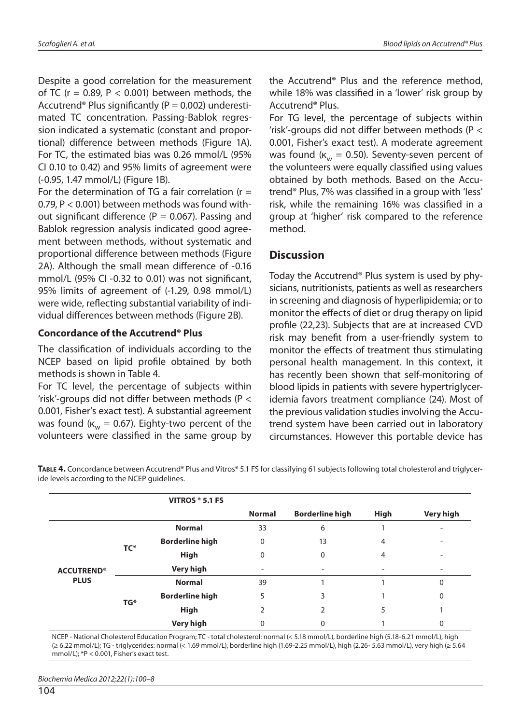Despite a good correlation for the measurement of TC ( $r = 0.89$ ,  $P < 0.001$ ) between methods, the Accutrend<sup>®</sup> Plus significantly ( $P = 0.002$ ) underestimated TC concentration. Passing-Bablok regression indicated a systematic (constant and proportional) difference between methods (Figure 1A). For TC, the estimated bias was 0.26 mmol/L (95% CI 0.10 to 0.42) and 95% limits of agreement were (-0.95, 1.47 mmol/L) (Figure 1B).

For the determination of TG a fair correlation  $(r =$ 0.79, P < 0.001) between methods was found without significant difference ( $P = 0.067$ ). Passing and Bablok regression analysis indicated good agreement between methods, without systematic and proportional difference between methods (Figure 2A). Although the small mean difference of -0.16 mmol/L (95% CI -0.32 to 0.01) was not significant, 95% limits of agreement of (-1.29, 0.98 mmol/L) were wide, reflecting substantial variability of individual differences between methods (Figure 2B).

#### **Concordance of the Accutrend® Plus**

The classification of individuals according to the NCEP based on lipid profile obtained by both methods is shown in Table 4.

For TC level, the percentage of subjects within 'risk'-groups did not differ between methods (P  $<$ 0.001, Fisher's exact test). A substantial agreement was found ( $\kappa_{w}$  = 0.67). Eighty-two percent of the volunteers were classified in the same group by the Accutrend® Plus and the reference method, while 18% was classified in a 'lower' risk group by Accutrend® Plus.

For TG level, the percentage of subjects within 'risk'-groups did not differ between methods ( $P <$ 0.001, Fisher's exact test). A moderate agreement was found ( $\kappa_w = 0.50$ ). Seventy-seven percent of the volunteers were equally classified using values obtained by both methods. Based on the Accutrend<sup>®</sup> Plus, 7% was classified in a group with 'less' risk, while the remaining 16% was classified in a group at 'higher' risk compared to the reference method.

#### **Discussion**

Today the Accutrend® Plus system is used by physicians, nutritionists, patients as well as researchers in screening and diagnosis of hyperlipidemia; or to monitor the effects of diet or drug therapy on lipid profile (22,23). Subjects that are at increased CVD risk may benefit from a user-friendly system to monitor the effects of treatment thus stimulating personal health management. In this context, it has recently been shown that self-monitoring of blood lipids in patients with severe hypertriglyceridemia favors treatment compliance (24). Most of the previous validation studies involving the Accutrend system have been carried out in laboratory circumstances. However this portable device has

**TABLE 4.** Concordance between Accutrend® Plus and Vitros® 5.1 FS for classifying 61 subjects following total cholesterol and triglyceride levels according to the NCEP guidelines.

|                                  |     | VITROS ® 5.1 FS        |               |                          |             |           |
|----------------------------------|-----|------------------------|---------------|--------------------------|-------------|-----------|
|                                  |     |                        | <b>Normal</b> | <b>Borderline high</b>   | <b>High</b> | Very high |
| <b>ACCUTREND®</b><br><b>PLUS</b> | TC* | <b>Normal</b>          | 33            | 6                        |             |           |
|                                  |     | <b>Borderline high</b> | 0             | 13                       | 4           |           |
|                                  |     | <b>High</b>            | 0             | $\mathbf 0$              | 4           |           |
|                                  |     | Very high              |               | $\overline{\phantom{a}}$ |             |           |
|                                  |     | <b>Normal</b>          | 39            |                          |             | 0         |
|                                  | TG* | <b>Borderline high</b> | 5             | 3                        |             | 0         |
|                                  |     | <b>High</b>            | 2             | 2                        | 5           |           |
|                                  |     | Very high              | 0             | 0                        |             | 0         |

NCEP - National Cholesterol Education Program; TC - total cholesterol: normal (< 5.18 mmol/L), borderline high (5.18-6.21 mmol/L), high (≥ 6.22 mmol/L); TG - triglycerides: normal (< 1.69 mmol/L), borderline high (1.69-2.25 mmol/L), high (2.26- 5.63 mmol/L), very high (≥ 5.64 mmol/L); \*P < 0.001, Fisher's exact test.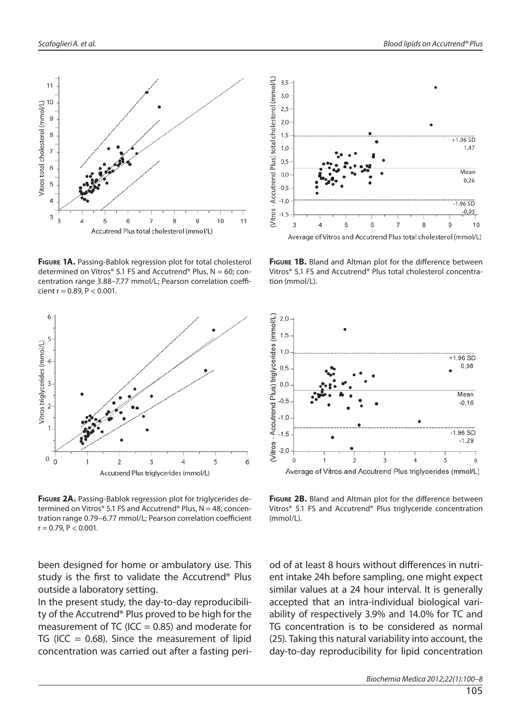

**FIGURE 1A.** Passing-Bablok regression plot for total cholesterol determined on Vitros® 5.1 FS and Accutrend® Plus,  $N = 60$ ; concentration range 3.88-7.77 mmol/L; Pearson correlation coefficient r =  $0.89$ , P <  $0.001$ .



**FIGURE 2A.** Passing-Bablok regression plot for triglycerides determined on Vitros® 5.1 FS and Accutrend® Plus,  $N = 48$ ; concentration range 0.79-6.77 mmol/L; Pearson correlation coefficient  $r = 0.79$ ,  $P < 0.001$ .

been designed for home or ambulatory use. This study is the first to validate the Accutrend® Plus outside a laboratory setting.

In the present study, the day-to-day reproducibility of the Accutrend® Plus proved to be high for the measurement of TC (ICC  $= 0.85$ ) and moderate for TG (ICC = 0.68). Since the measurement of lipid concentration was carried out after a fasting peri-



FIGURE 1B. Bland and Altman plot for the difference between Vitros® 5.1 FS and Accutrend® Plus total cholesterol concentration (mmol/L).



FIGURE 2B. Bland and Altman plot for the difference between Vitros® 5.1 FS and Accutrend® Plus triglyceride concentration (mmol/L).

od of at least 8 hours without differences in nutrient intake 24h before sampling, one might expect similar values at a 24 hour interval. It is generally accepted that an intra-individual biological variability of respectively 3.9% and 14.0% for TC and TG concentration is to be considered as normal (25). Taking this natural variability into account, the day-to-day reproducibility for lipid concentration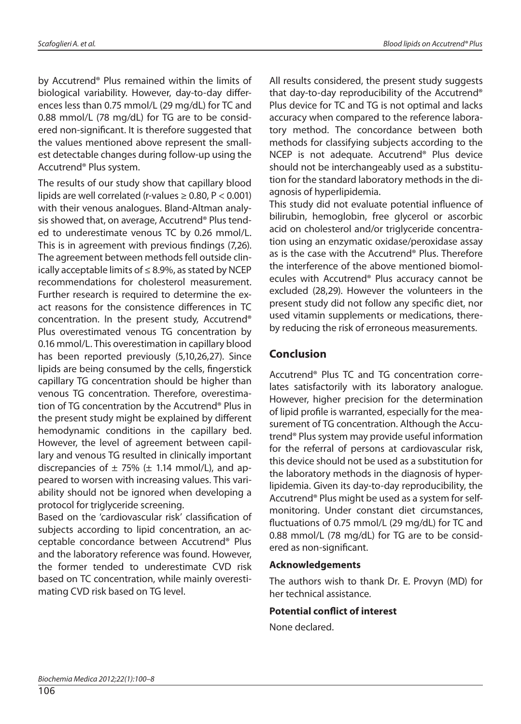by Accutrend® Plus remained within the limits of biological variability. However, day-to-day differences less than 0.75 mmol/L (29 mg/dL) for TC and 0.88 mmol/L (78 mg/dL) for TG are to be considered non-significant. It is therefore suggested that the values mentioned above represent the smallest detectable changes during follow-up using the Accutrend® Plus system.

The results of our study show that capillary blood lipids are well correlated (r-values  $\geq 0.80$ , P < 0.001) with their venous analogues. Bland-Altman analysis showed that, on average, Accutrend® Plus tended to underestimate venous TC by 0.26 mmol/L. This is in agreement with previous findings (7,26). The agreement between methods fell outside clinically acceptable limits of  $\leq 8.9\%$ , as stated by NCEP recommendations for cholesterol measurement. Further research is required to determine the exact reasons for the consistence differences in TC concentration. In the present study, Accutrend® Plus overestimated venous TG concentration by 0.16 mmol/L. This overestimation in capillary blood has been reported previously (5,10,26,27). Since lipids are being consumed by the cells, fingerstick capillary TG concentration should be higher than venous TG concentration. Therefore, overestimation of TG concentration by the Accutrend® Plus in the present study might be explained by different hemodynamic conditions in the capillary bed. However, the level of agreement between capillary and venous TG resulted in clinically important discrepancies of  $\pm$  75% ( $\pm$  1.14 mmol/L), and appeared to worsen with increasing values. This variability should not be ignored when developing a protocol for triglyceride screening.

Based on the 'cardiovascular risk' classification of subjects according to lipid concentration, an acceptable concordance between Accutrend® Plus and the laboratory reference was found. However, the former tended to underestimate CVD risk based on TC concentration, while mainly overestimating CVD risk based on TG level.

All results considered, the present study suggests that day-to-day reproducibility of the Accutrend® Plus device for TC and TG is not optimal and lacks accuracy when compared to the reference laboratory method. The concordance between both methods for classifying subjects according to the NCEP is not adequate. Accutrend® Plus device should not be interchangeably used as a substitution for the standard laboratory methods in the diagnosis of hyperlipidemia.

This study did not evaluate potential influence of bilirubin, hemoglobin, free glycerol or ascorbic acid on cholesterol and/or triglyceride concentration using an enzymatic oxidase/peroxidase assay as is the case with the Accutrend® Plus. Therefore the interference of the above mentioned biomolecules with Accutrend® Plus accuracy cannot be excluded (28,29). However the volunteers in the present study did not follow any specific diet, nor used vitamin supplements or medications, thereby reducing the risk of erroneous measurements.

### **Conclusion**

Accutrend® Plus TC and TG concentration correlates satisfactorily with its laboratory analogue. However, higher precision for the determination of lipid profile is warranted, especially for the measurement of TG concentration. Although the Accutrend® Plus system may provide useful information for the referral of persons at cardiovascular risk, this device should not be used as a substitution for the laboratory methods in the diagnosis of hyperlipidemia. Given its day-to-day reproducibility, the Accutrend® Plus might be used as a system for selfmonitoring. Under constant diet circumstances, fluctuations of 0.75 mmol/L (29 mg/dL) for TC and 0.88 mmol/L (78 mg/dL) for TG are to be considered as non-significant.

#### **Acknowledgements**

The authors wish to thank Dr. E. Provyn (MD) for her technical assistance.

#### **Potential conflict of interest**

None declared.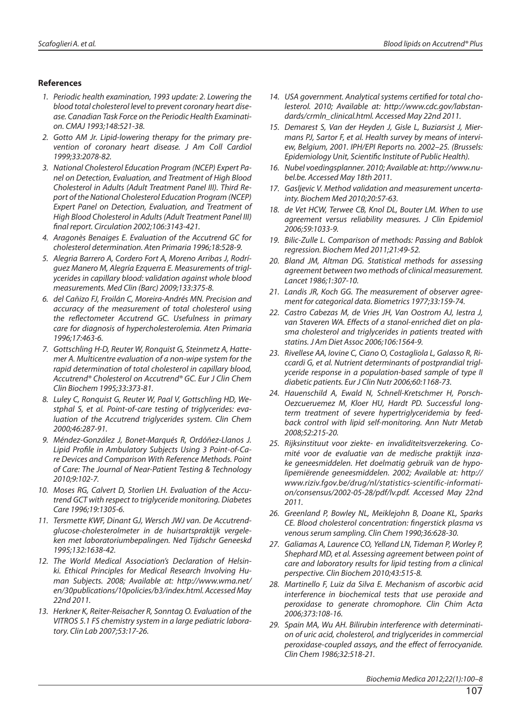#### **References**

- 1. Periodic health examination, 1993 update: 2. Lowering the blood total cholesterol level to prevent coronary heart disease. Canadian Task Force on the Periodic Health Examination. CMAJ 1993;148:521-38.
- 2. Gotto AM Jr. Lipid-lowering therapy for the primary prevention of coronary heart disease. J Am Coll Cardiol 1999;33:2078-82.
- 3. National Cholesterol Education Program (NCEP) Expert Panel on Detection, Evaluation, and Treatment of High Blood Cholesterol in Adults (Adult Treatment Panel III). Third Report of the National Cholesterol Education Program (NCEP) Expert Panel on Detection, Evaluation, and Treatment of High Blood Cholesterol in Adults (Adult Treatment Panel III) final report. Circulation 2002;106:3143-421.
- 4. Aragonès Benaiges E. Evaluation of the Accutrend GC for cholesterol determination. Aten Primaria 1996;18:528-9.
- 5. Alegria Barrero A, Cordero Fort A, Moreno Arribas J, Rodríguez Manero M, Alegría Ezquerra E. Measurements of triglycerides in capillary blood: validation against whole blood measurements. Med Clin (Barc) 2009;133:375-8.
- 6. del Cañizo FJ, Froilán C, Moreira-Andrés MN. Precision and accuracy of the measurement of total cholesterol using the reflectometer Accutrend GC. Usefulness in primary care for diagnosis of hypercholesterolemia. Aten Primaria 1996;17:463-6.
- 7. Gottschling H-D, Reuter W, Ronquist G, Steinmetz A, Hattemer A. Multicentre evaluation of a non-wipe system for the rapid determination of total cholesterol in capillary blood, Accutrend® Cholesterol on Accutrend® GC. Eur J Clin Chem Clin Biochem 1995;33:373-81.
- 8. Luley C, Ronquist G, Reuter W, Paal V, Gottschling HD, Westphal S, et al. Point-of-care testing of triglycerides: evaluation of the Accutrend triglycerides system. Clin Chem 2000;46:287-91.
- 9. Méndez-González J, Bonet-Marqués R, Ordóñez-Llanos J. Lipid Profile in Ambulatory Subjects Using 3 Point-of-Care Devices and Comparison With Reference Methods. Point of Care: The Journal of Near-Patient Testing & Technology 2010;9:102-7.
- 10. Moses RG, Calvert D, Storlien LH. Evaluation of the Accutrend GCT with respect to triglyceride monitoring. Diabetes Care 1996;19:1305-6.
- 11. Tersmette KWF, Dinant GJ, Wersch JWJ van. De Accutrendglucose-cholesterolmeter in de huisartspraktijk vergeleken met laboratoriumbepalingen. Ned Tijdschr Geneeskd 1995;132:1638-42.
- 12. The World Medical Association's Declaration of Helsinki. Ethical Principles for Medical Research Involving Human Subjects. 2008; Available at: http://www.wma.net/ en/30publications/10policies/b3/index.html. Accessed May 22nd 2011.
- 13. Herkner K, Reiter-Reisacher R, Sonntag O. Evaluation of the VITROS 5.1 FS chemistry system in a large pediatric laboratory. Clin Lab 2007;53:17-26.
- 14. USA government. Analytical systems certified for total cholesterol. 2010; Available at: http://www.cdc.gov/labstandards/crmln\_clinical.html. Accessed May 22nd 2011.
- 15. Demarest S, Van der Heyden J, Gisle L, Buziarsist J, Miermans PJ, Sartor F, et al. Health survey by means of interview, Belgium, 2001. IPH/EPI Reports no. 2002–25. (Brussels: Epidemiology Unit, Scientific Institute of Public Health).
- 16. Nubel voedingsplanner. 2010; Available at: http://www.nubel.be. Accessed May 18th 2011.
- 17. Gasljevic V. Method validation and measurement uncertainty. Biochem Med 2010;20:57-63.
- 18. de Vet HCW, Terwee CB, Knol DL, Bouter LM. When to use agreement versus reliability measures. J Clin Epidemiol 2006;59:1033-9.
- 19. Bilic-Zulle L. Comparison of methods: Passing and Bablok regression. Biochem Med 2011;21:49-52.
- 20. Bland JM, Altman DG. Statistical methods for assessing agreement between two methods of clinical measurement. Lancet 1986;1:307-10.
- 21. Landis JR, Koch GG. The measurement of observer agreement for categorical data. Biometrics 1977;33:159-74.
- 22. Castro Cabezas M, de Vries JH, Van Oostrom AJ, Iestra J, van Staveren WA. Effects of a stanol-enriched diet on plasma cholesterol and triglycerides in patients treated with statins. J Am Diet Assoc 2006;106:1564-9.
- 23. Rivellese AA, Iovine C, Ciano O, Costagliola L, Galasso R, Riccardi G, et al. Nutrient determinants of postprandial triglyceride response in a population-based sample of type II diabetic patients. Eur J Clin Nutr 2006;60:1168-73.
- 24. Hauenschild A, Ewald N, Schnell-Kretschmer H, Porsch-Oezcueruemez M, Kloer HU, Hardt PD. Successful longterm treatment of severe hypertriglyceridemia by feedback control with lipid self-monitoring. Ann Nutr Metab 2008;52:215-20.
- 25. Rijksinstituut voor ziekte- en invaliditeitsverzekering. Comité voor de evaluatie van de medische praktijk inzake geneesmiddelen. Het doelmatig gebruik van de hypolipemiërende geneesmiddelen. 2002; Available at: http:// www.riziv.fgov.be/drug/nl/statistics-scientific-information/consensus/2002-05-28/pdf/lv.pdf. Accessed May 22nd 2011.
- 26. Greenland P, Bowley NL, Meiklejohn B, Doane KL, Sparks CE. Blood cholesterol concentration: fingerstick plasma vs venous serum sampling. Clin Chem 1990;36:628-30.
- 27. Galiamas A, Laurence CO, Yelland LN, Tideman P, Worley P, Shephard MD, et al. Assessing agreement between point of care and laboratory results for lipid testing from a clinical perspective. Clin Biochem 2010;43:515-8.
- 28. Martinello F, Luiz da Silva E. Mechanism of ascorbic acid interference in biochemical tests that use peroxide and peroxidase to generate chromophore. Clin Chim Acta 2006;373:108-16.
- 29. Spain MA, Wu AH. Bilirubin interference with determination of uric acid, cholesterol, and triglycerides in commercial peroxidase-coupled assays, and the effect of ferrocyanide. Clin Chem 1986;32:518-21.